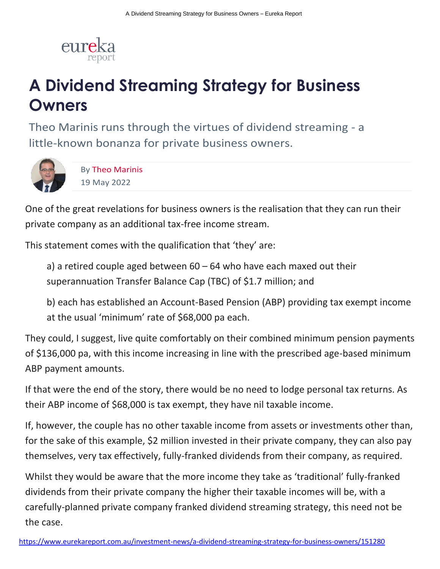

# **A Dividend Streaming Strategy for Business Owners**

Theo Marinis runs through the virtues of dividend streaming - a little-known bonanza for private business owners.



By [Theo Marinis](https://www.eurekareport.com.au/author/theo-marinis/11651) 19 May 2022

One of the great revelations for business owners is the realisation that they can run their private company as an additional tax-free income stream.

This statement comes with the qualification that 'they' are:

a) a retired couple aged between  $60 - 64$  who have each maxed out their superannuation Transfer Balance Cap (TBC) of \$1.7 million; and

b) each has established an Account-Based Pension (ABP) providing tax exempt income at the usual 'minimum' rate of \$68,000 pa each.

They could, I suggest, live quite comfortably on their combined minimum pension payments of \$136,000 pa, with this income increasing in line with the prescribed age-based minimum ABP payment amounts.

If that were the end of the story, there would be no need to lodge personal tax returns. As their ABP income of \$68,000 is tax exempt, they have nil taxable income.

If, however, the couple has no other taxable income from assets or investments other than, for the sake of this example, \$2 million invested in their private company, they can also pay themselves, very tax effectively, fully-franked dividends from their company, as required.

Whilst they would be aware that the more income they take as 'traditional' fully-franked dividends from their private company the higher their taxable incomes will be, with a carefully-planned private company franked dividend streaming strategy, this need not be the case.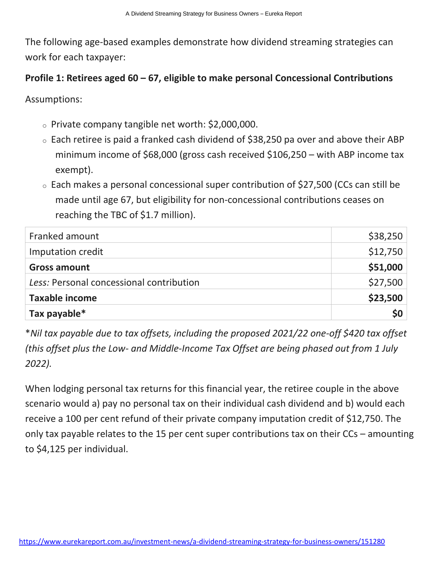The following age-based examples demonstrate how dividend streaming strategies can work for each taxpayer:

### **Profile 1: Retirees aged 60 – 67, eligible to make personal Concessional Contributions**

Assumptions:

- <sup>o</sup> Private company tangible net worth: \$2,000,000.
- $\circ$  Each retiree is paid a franked cash dividend of \$38,250 pa over and above their ABP minimum income of \$68,000 (gross cash received \$106,250 – with ABP income tax exempt).
- <sup>o</sup> Each makes a personal concessional super contribution of \$27,500 (CCs can still be made until age 67, but eligibility for non-concessional contributions ceases on reaching the TBC of \$1.7 million).

| Franked amount                           | \$38,250 |
|------------------------------------------|----------|
| Imputation credit                        | \$12,750 |
| <b>Gross amount</b>                      | \$51,000 |
| Less: Personal concessional contribution | \$27,500 |
| <b>Taxable income</b>                    | \$23,500 |
| Tax payable*                             | \$0      |

\**Nil tax payable due to tax offsets, including the proposed 2021/22 one-off \$420 tax offset (this offset plus the Low- and Middle-Income Tax Offset are being phased out from 1 July 2022).*

When lodging personal tax returns for this financial year, the retiree couple in the above scenario would a) pay no personal tax on their individual cash dividend and b) would each receive a 100 per cent refund of their private company imputation credit of \$12,750. The only tax payable relates to the 15 per cent super contributions tax on their CCs – amounting to \$4,125 per individual.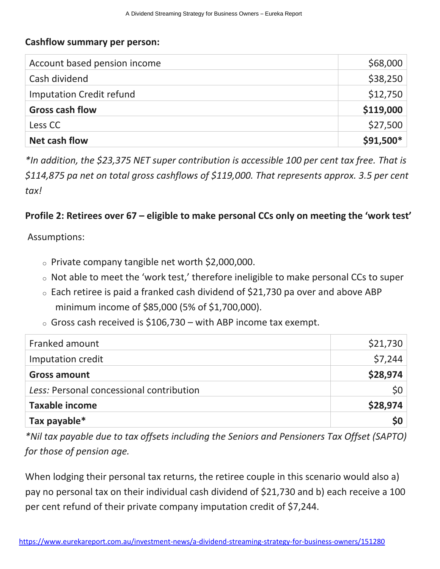#### **Cashflow summary per person:**

| Account based pension income    | \$68,000  |
|---------------------------------|-----------|
| Cash dividend                   | \$38,250  |
| <b>Imputation Credit refund</b> | \$12,750  |
| <b>Gross cash flow</b>          | \$119,000 |
| Less CC                         | \$27,500  |
| Net cash flow                   | \$91,500* |

*\*In addition, the \$23,375 NET super contribution is accessible 100 per cent tax free. That is \$114,875 pa net on total gross cashflows of \$119,000. That represents approx. 3.5 per cent tax!*

#### **Profile 2: Retirees over 67 – eligible to make personal CCs only on meeting the 'work test'**

Assumptions:

- <sup>o</sup> Private company tangible net worth \$2,000,000.
- <sup>o</sup> Not able to meet the 'work test,' therefore ineligible to make personal CCs to super
- $\circ$  Each retiree is paid a franked cash dividend of \$21,730 pa over and above ABP minimum income of \$85,000 (5% of \$1,700,000).
- $\circ$  Gross cash received is \$106,730 with ABP income tax exempt.

| Franked amount                           | \$21,730        |
|------------------------------------------|-----------------|
| Imputation credit                        | \$7,244         |
| <b>Gross amount</b>                      | \$28,974        |
| Less: Personal concessional contribution | 50 <sup>1</sup> |
| <b>Taxable income</b>                    | \$28,974        |
| Tax payable*                             | \$0             |

*\*Nil tax payable due to tax offsets including the Seniors and Pensioners Tax Offset (SAPTO) for those of pension age.*

When lodging their personal tax returns, the retiree couple in this scenario would also a) pay no personal tax on their individual cash dividend of \$21,730 and b) each receive a 100 per cent refund of their private company imputation credit of \$7,244.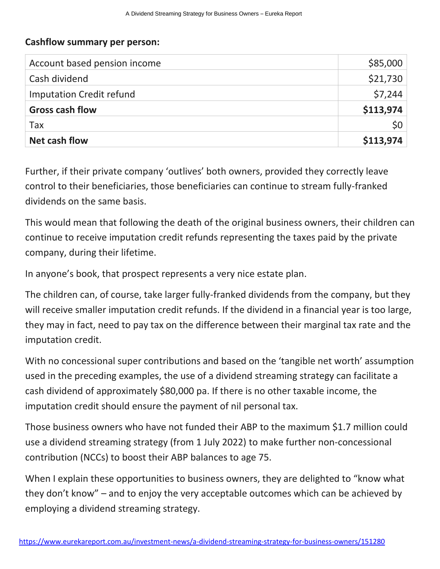#### **Cashflow summary per person:**

| Account based pension income    | \$85,000  |
|---------------------------------|-----------|
| Cash dividend                   | \$21,730  |
| <b>Imputation Credit refund</b> | \$7,244   |
| <b>Gross cash flow</b>          | \$113,974 |
| Tax                             | \$0       |
| Net cash flow                   | \$113,974 |

Further, if their private company 'outlives' both owners, provided they correctly leave control to their beneficiaries, those beneficiaries can continue to stream fully-franked dividends on the same basis.

This would mean that following the death of the original business owners, their children can continue to receive imputation credit refunds representing the taxes paid by the private company, during their lifetime.

In anyone's book, that prospect represents a very nice estate plan.

The children can, of course, take larger fully-franked dividends from the company, but they will receive smaller imputation credit refunds. If the dividend in a financial year is too large, they may in fact, need to pay tax on the difference between their marginal tax rate and the imputation credit.

With no concessional super contributions and based on the 'tangible net worth' assumption used in the preceding examples, the use of a dividend streaming strategy can facilitate a cash dividend of approximately \$80,000 pa. If there is no other taxable income, the imputation credit should ensure the payment of nil personal tax.

Those business owners who have not funded their ABP to the maximum \$1.7 million could use a dividend streaming strategy (from 1 July 2022) to make further non-concessional contribution (NCCs) to boost their ABP balances to age 75.

When I explain these opportunities to business owners, they are delighted to "know what they don't know" – and to enjoy the very acceptable outcomes which can be achieved by employing a dividend streaming strategy.